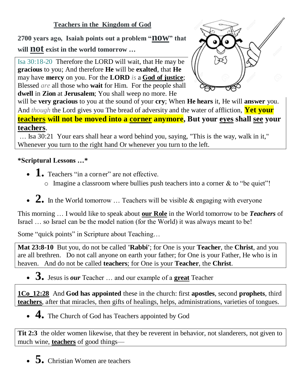## **Teachers in the Kingdom of God**

**<sup>2700</sup> years ago, Isaiah points out a problem "now" that** 

**will not exist in the world tomorrow …**

Isa 30:18-20 Therefore the LORD will wait, that He may be **gracious** to you; And therefore **He** will be **exalted**, that **He** may have **mercy** on you. For the **LORD** *is* a **God of justice**; Blessed *are* all those who **wait** for Him. For the people shall **dwell** in **Zion** at **Jerusalem**; You shall weep no more. He



will be **very gracious** to you at the sound of your **cry**; When **He hears** it, He will **answer** you. And *though* the Lord gives you The bread of adversity and the water of affliction, **Yet your teachers will not be moved into a corner anymore, But your eyes shall see your teachers**.

… Isa 30:21 Your ears shall hear a word behind you, saying, "This is the way, walk in it," Whenever you turn to the right hand Or whenever you turn to the left.

## **\*Scriptural Lessons …\***

- **1.** Teachers "in a corner" are not effective.
	- $\circ$  Imagine a classroom where bullies push teachers into a corner & to "be quiet"!
- 2. In the World tomorrow ... Teachers will be visible & engaging with everyone

This morning … I would like to speak about **our Role** in the World tomorrow to be *Teachers* of Israel … so Israel can be the model nation (for the World) it was always meant to be!

Some "quick points" in Scripture about Teaching…

**Mat 23:8-10** But you, do not be called **'Rabbi'**; for One is your **Teacher**, the **Christ**, and you are all brethren. Do not call anyone on earth your father; for One is your Father, He who is in heaven. And do not be called **teachers**; for One is your **Teacher**, the **Christ**.

**3.** Jesus is *our* Teacher … and our example of a **great** Teacher

**1Co\_12:28** And **God has appointed** these in the church: first **apostles**, second **prophets**, third **teachers**, after that miracles, then gifts of healings, helps, administrations, varieties of tongues.

• **4.** The Church of God has Teachers appointed by God

**Tit 2:3** the older women likewise, that they be reverent in behavior, not slanderers, not given to much wine, **teachers** of good things—

• **5.** Christian Women are teachers